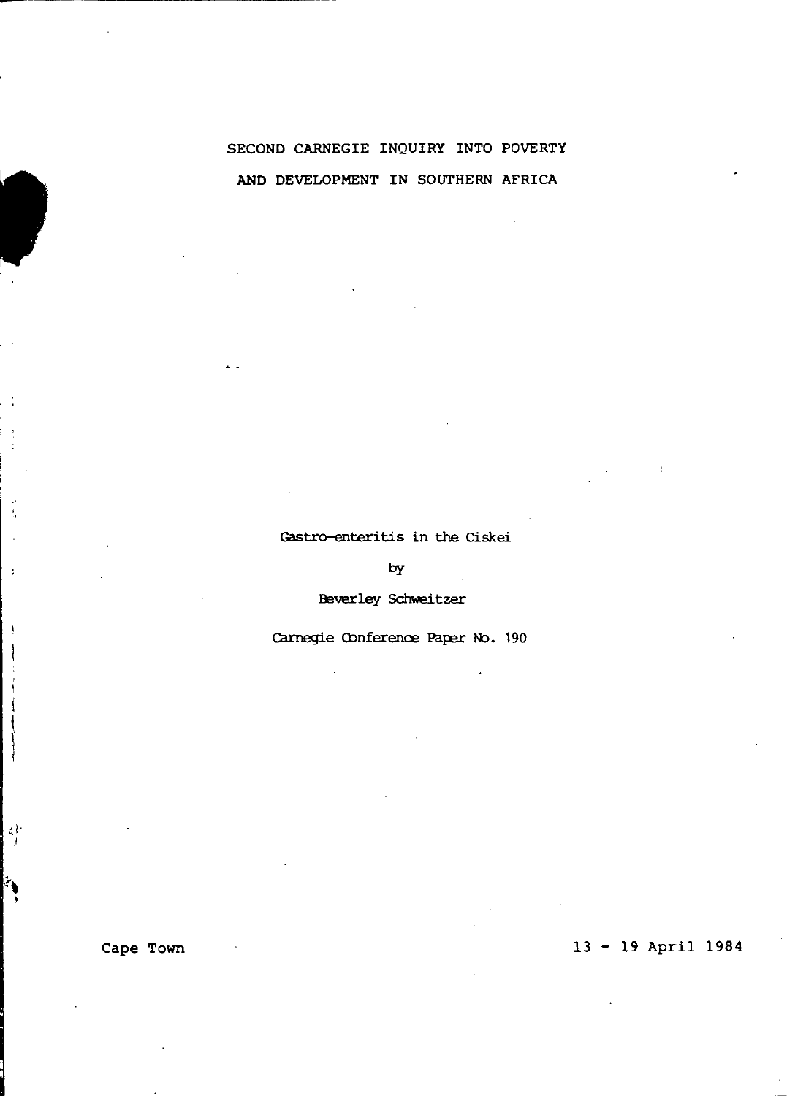# SECOND CARNEGIE INQUIRY INTO POVERTY AND DEVELOPMENT IN SOUTHERN AFRICA

#### Gastro-enteritis in the Ciskei

by

Beverley Schweitzer

Carnegie Conference Paper No. 190

ł,

 $\lambda$ 

À

Á j

각

 $\mathbf{r}_{\mathbf{t}}$ 

## Cape Town 13 - 19 April 1984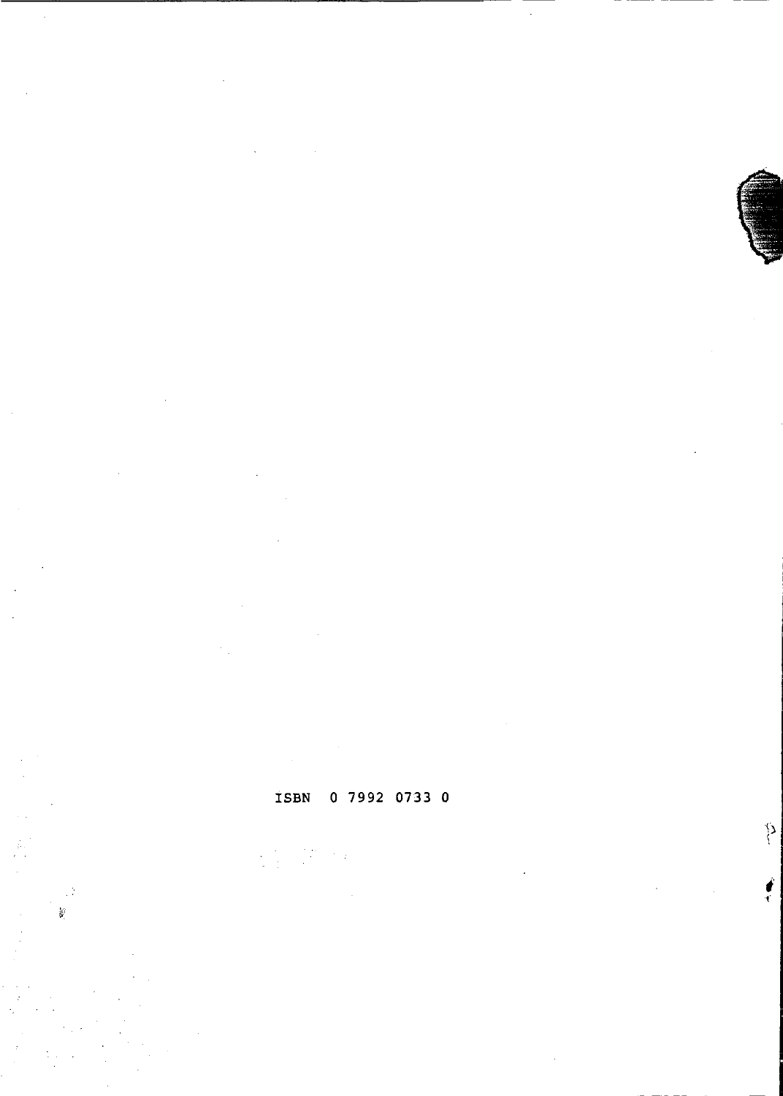;'  $\frac{\partial f}{\partial x^2}$ 

P)

## ISBN 0 7992 0733 0

ř,

Ź

i.<br>G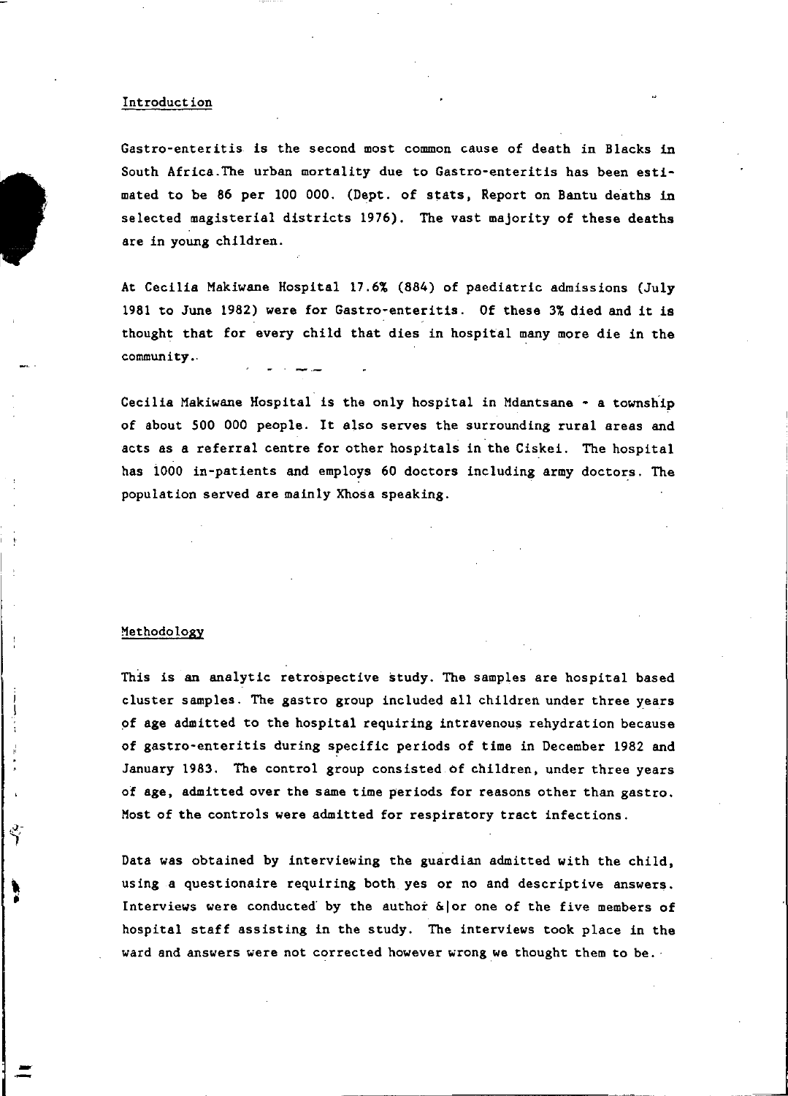#### Introduction

Gastro-enteritis is the second most common cause of death in Blacks in South Africa.The urban mortality due to Gastro-enteritis has been estimated to be 86 per 100 000. (Dept. of stats. Report on Bantu deaths in selected magisterial districts 1976). The vast majority of these deaths are in young children.

At Cecilia Makiwane Hospital 17.6% (884) of paediatric admissions (July 1981 to June 1982) were for Gastro-enteritis. Of these 3% died and it is thought that for every child that dies in hospital many more die in the community. '

Cecilia Makiwane Hospital is the only hospital in Mdantsane - a township of about 500 000 people. It also serves the surrounding rural areas and acts as a referral centre for other hospitals in the Ciskei. The hospital has 1000 in-patients and employs 60 doctors including army doctors. The population served are mainly Xhosa speaking.

#### Methodology

 $\rightarrow$ 

 $\Delta$ 

This is an analytic retrospective study. The samples are hospital based cluster samples. The gastro group included all children under three years of age admitted to the hospital requiring intravenous rehydration because of gastro-enteritis during specific periods of time in December 1982 and January 1983. The control group consisted of children. under three years of age. admitted over the same time periods for reasons other than gastro. Most of the controls were admitted for respiratory tract infections.

Data was obtained by interviewing the guardian admitted with the child, using a questionaire requiring both yes or no and descriptive answers. Interviews were conducted by the author  $\&$  or one of the five members of hospital staff assisting in the study. The interviews took place in the ward and answers were not corrected however wrong we thought them to be.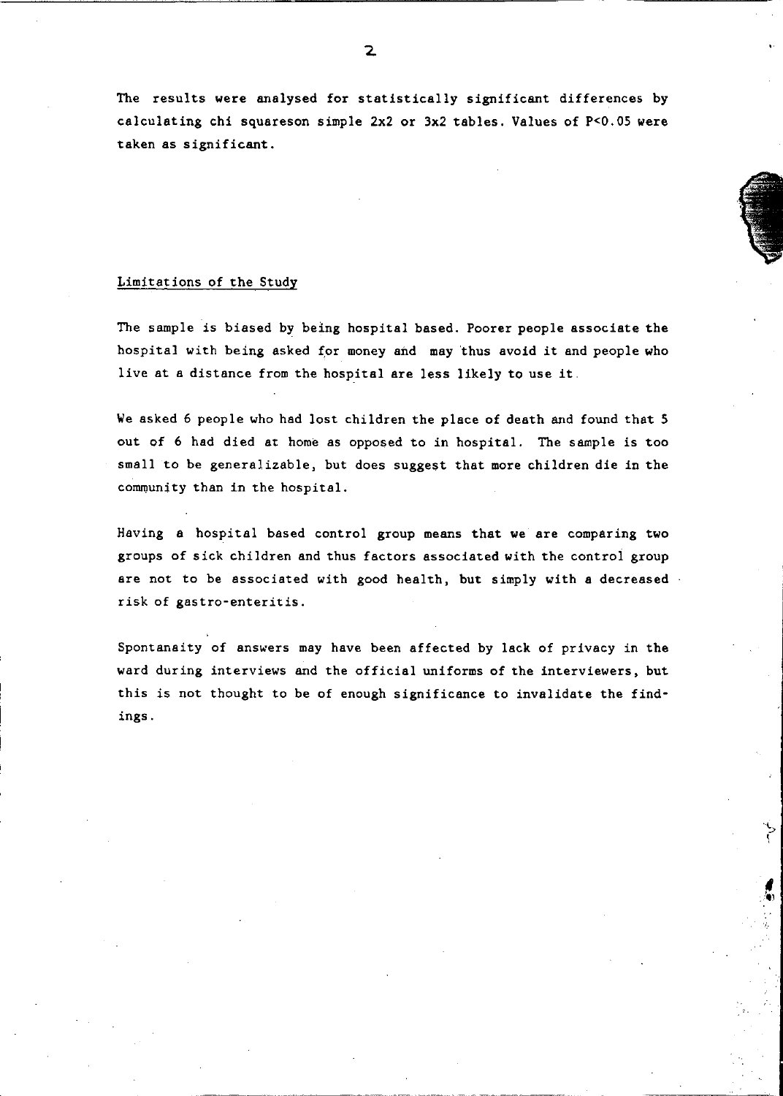The results were analysed for statistically significant differences by calculating chi squareson simple 2x2 or 3x2 tables. Values of P<O.05 were taken as significant.

#### Limitations of the Study

The sample is biased by being hospital based. Poorer people associate the hospital with being asked for money and may thus avoid it and people who live at a distance from the hospital are less likely to use it

We asked 6 people who had lost children the place of death and found that 5 out of 6 had died at home as opposed to in hospital. The sample is too small to be generalizable, but does suggest that more children die in the community than in the hospital.

Having a hospital based control group means that we are comparing two groups of sick children and thus factors associated with the control group are not to be associated with good health, but simply with a decreased. risk of gastro-enteritis.

Spontanaity of answers may have been affected by lack of privacy in the ward during interviews and the official uniforms of the interviewers, but this is not thought to be of enough significance to invalidate the findings.

> S  $\mathfrak{c}$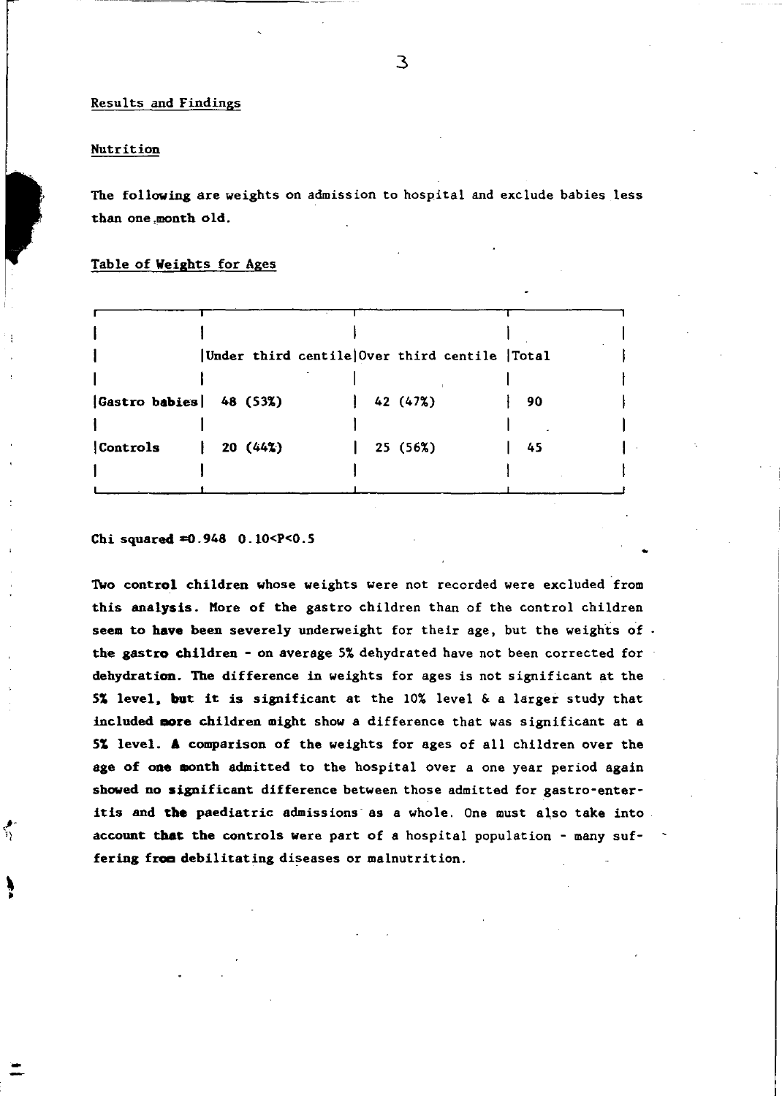### Results and Findings

#### Nutrition

Ņ

The following are weights on admission to hospital and exclude babies less than one ,month old.

#### Table of Weights for Ages

|                        |         | Under third centile Over third centile Total |    |  |
|------------------------|---------|----------------------------------------------|----|--|
| Gastro babies 48 (53%) |         | 42 (47%)                                     | 90 |  |
| Controls               | 20(442) | 25 (56%)                                     | 45 |  |
|                        |         |                                              |    |  |

#### Chi squared  $=0.948$  0.10 < P < 0.5

Two control children whose weights were not recorded were excluded 'from this analysis. Kore of the gastro children than of the control children seem to have been severely underweight for their age, but the weights of. the gastro children - on average 5% dehydrated have not been corrected for dehydration. The difference in weights for ages is not significant at the 51 level. but it is significant at the 10% level & a larger study that included nore children might show a difference that was significant at a 51 level. A comparison of the weights for ages of all children over the age of one month admitted to the hospital over a one year period again showed no significant difference between those admitted for gastro-enteritis and the paediatric admissions' as a whole. One must also take into account that the controls Were part of a hospital population - many suffering from debilitating diseases or malnutrition.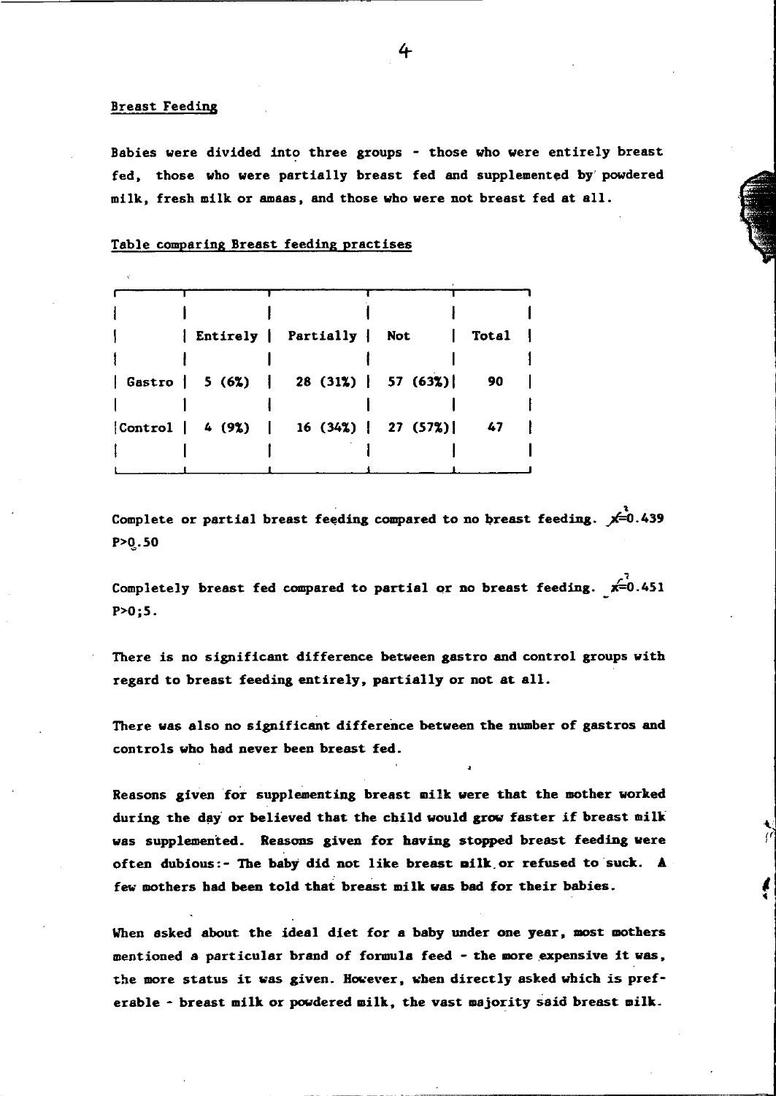#### Breast Feeding

Babies were divided into three groups - those who were entirely breast fed, those who were partially breast fed and supplemented by' powdered milk, fresh milk or amaas, and those who were not breast fed at all.

#### Table comparing Breast feeding practises

|  | Entirely Partially Not   Total          |      |
|--|-----------------------------------------|------|
|  | Gastro   5 (6%)   28 (31%)   57 (63%)   | - 90 |
|  | [Control   4 (9%)   16 (34%)   27 (57%) | - 47 |
|  |                                         |      |

• Complete or partial breast feeding compared to no breast feeding. *F-O.439*  P>q.50

Completely breast fed compared to partial or no breast feeding.  $x=0.451$ P>0;5.

There is no significant difference between gastro and control groups with regard to breast feeding entirely, partially or not at all.

There was also no significant difference between the number of gastros and controls who had never been breast fed.

Reasons given for supplementing breast milk were that the mother worked during the day or believed that the child would grow faster if breast milk was supplemented. Reasons given for having stopped breast feeding were often dubious:- The baby did not like breast ailk.or refused to suck. A few mothers had been told that breast milk was bad for their babies.

When asked about the ideal diet for a baby under one year, most mothers mentioned a particular brand of formula feed - the more expensive it was, the more status it was given. However, when directly asked which is preferable - breast milk or powdered milk, the vast majority said breast milk.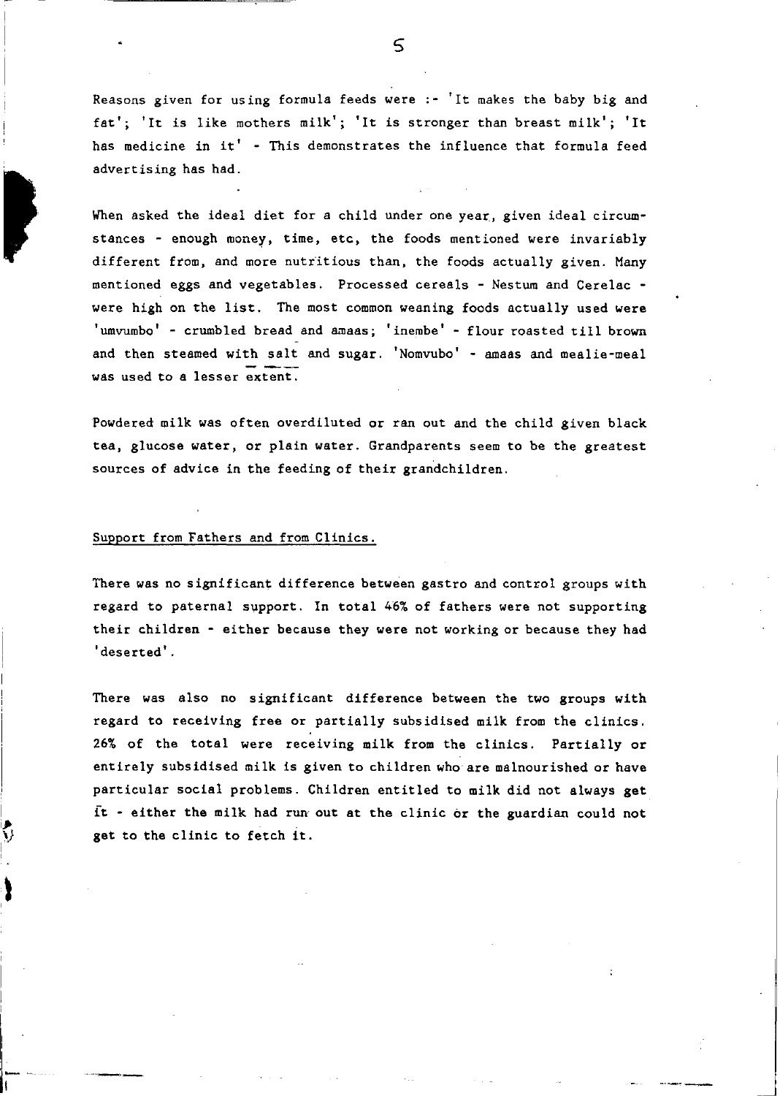Reasons given for using formula feeds were  $:$   $\cdot$  'It makes the baby big and fat'; 'It is like mothers milk'; 'It is stronger than breast milk'; 'It has medicine in it' - This demonstrates the influence that formula feed advertising has had.

When asked the ideal diet for a child under one year, given ideal circumstances - enough money, time, etc, the foods mentioned were invariably different from, and more nutritious than, the foods actually given. Many mentioned eggs and vegetables. Processed cereals - Nestum and Cerelac were high on the list. The most common weaning foods actually used were 'umvumbo' - crumbled bread and amaas; 'inembe' - flour roasted till brown and then steamed with salt and sugar. 'Nomvubo' - amaas and mealie-meal was used to a lesser extent.

Powdered milk was often overdiluted or ran out and the child given black tea, glucose water, or plain water. Grandparents seem to be the greatest sources of advice in the feeding of their grandchildren.

#### Support from Fathers and from Clinics.

,

 $\tilde{\phantom{a}}$  $\mathcal{Y}$ 

ì

There was no significant difference between gastro and control groups with regard to paternal support. In total 46% of fathers were not supporting their children - either because they were not working or because they had 'deserted' .

There was also no significant difference between the two groups with regard to receiving free or partially subsidised milk from the clinics. 26% of the total were receiving milk from the clinics. Partially or entirely subsidised milk is given to children who are malnourished or have particular social problems. Children entitled to milk did not always get it - either the milk had run out at the clinic or the guardian could not get to the clinic to fetch it.

 $\varsigma$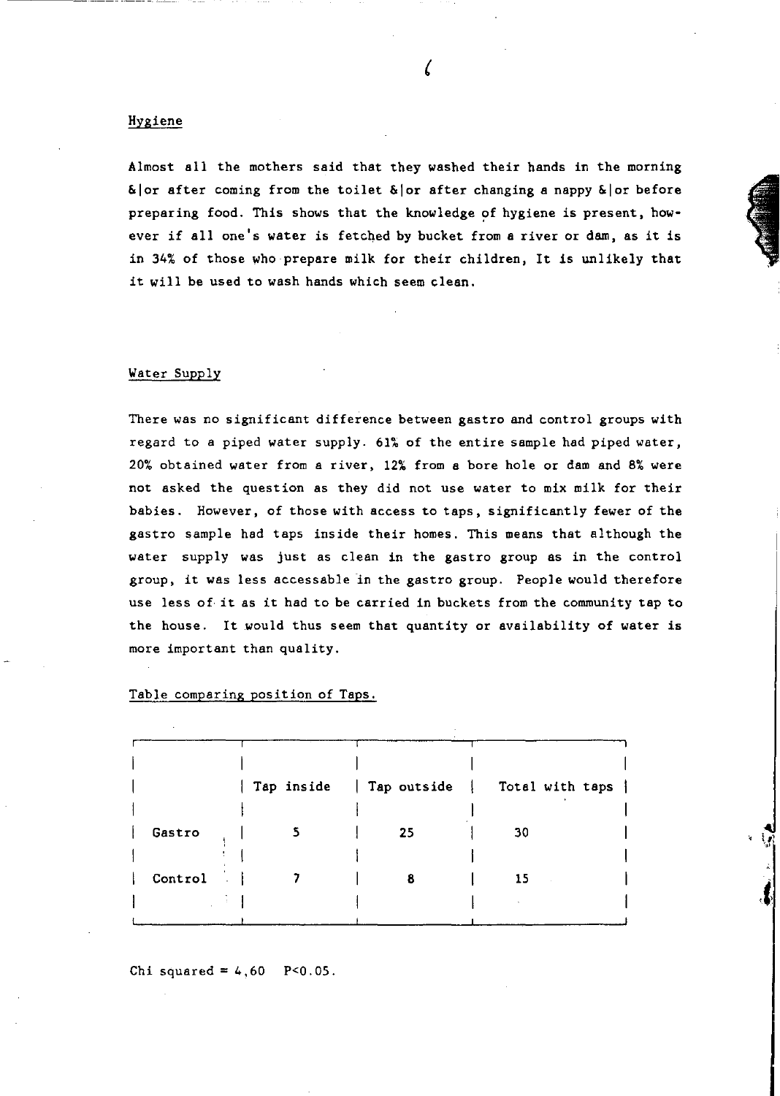#### Hygiene

Almost all the mothers said that they washed their hands in the morning  $\&$ | or after coming from the toilet  $\&$ | or after changing a nappy  $\&$ | or before preparing food. This shows that the knowledge of hygiene is present, however if all one's water is fetched by bucket from a river or dam, as it is in 34% of those who prepare milk for their children, It is unlikely that it will be used to wash hands which seem clean.

#### Water Supply

There was no significant difference between gastro and control groups with regard to a piped water supply. 61% of the entire sample had piped water, 20% obtained water from a river, 12% from a bore hole or dam and 8% were not asked the question as they did not use water to mix milk for their babies. However, of those with access to taps, significantly fewer of the gastro sample had taps inside their homes. This means that although the water supply was just as clean in the gastro group as in the control group, it was less accessable in the gastro group. People would therefore use less of it as it had to be carried in buckets from the community tap to the house. It would thus seem that quantity or availability of water is more important than quality.

|         |    | Tap inside   Tap outside   Total with taps |
|---------|----|--------------------------------------------|
| Gastro  | 25 | 30                                         |
| Control |    | 15                                         |
|         |    |                                            |

, t'J~

*,t,* 

Table comparing position of Taps.

Chi squared =  $4,60$  P<0.05.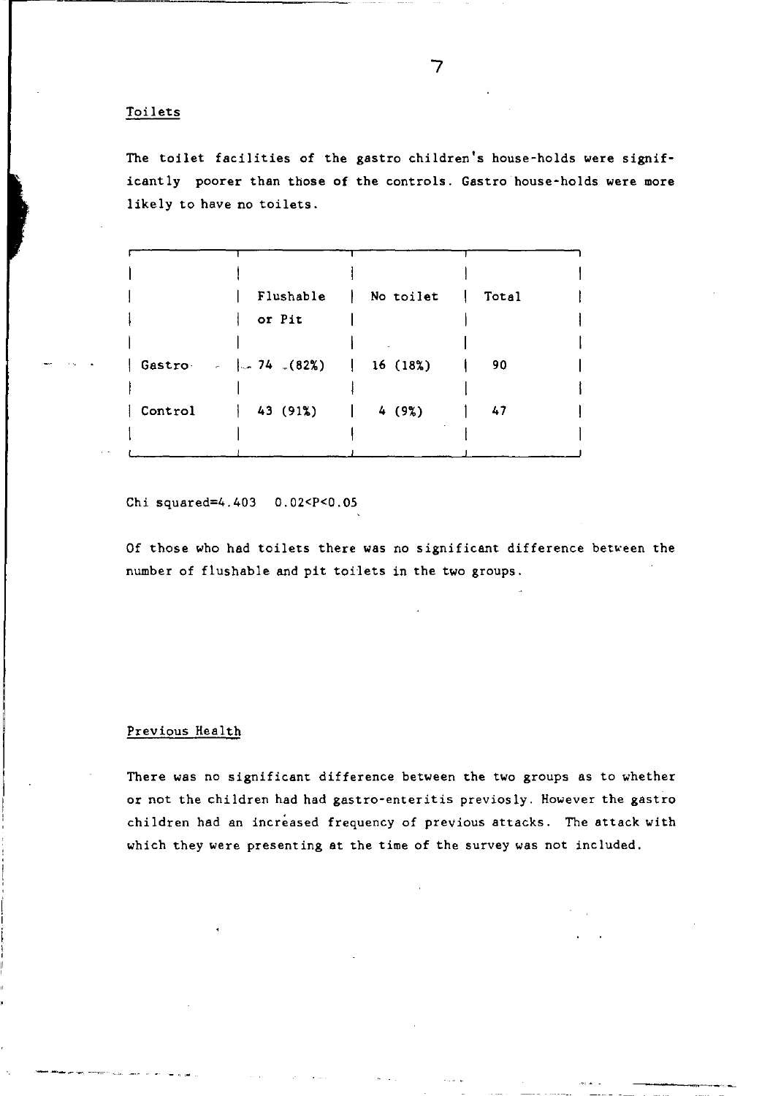#### Toilets

The toilet facilities of the gastro children's house-holds were significantly poorer than those of the controls. Gastro house-holds were more likely to have no toilets.

|                                                 | Flushable   No toilet | Total |  |
|-------------------------------------------------|-----------------------|-------|--|
| or Pit                                          |                       |       |  |
|                                                 |                       |       |  |
| Gastro $-$   74 (82%)   16 (18%)                |                       | 90    |  |
|                                                 |                       |       |  |
| $\vert$ Control $\vert$ 43 (91%) $\vert$ 4 (9%) |                       | 47    |  |
|                                                 |                       |       |  |
|                                                 |                       |       |  |

Chi squared=4. 403 O. 02<P<0. 05

Of those who had toilets there was no significant difference between the number of flushable and pit toilets in the two groups.

#### Previous Health

There was no significant difference between the two groups as to whether or not the children had had gastro-enteritis previosly. However the gastro children had an increased frequency of previous attacks. The attack with which they were presenting at the time of the survey was not included.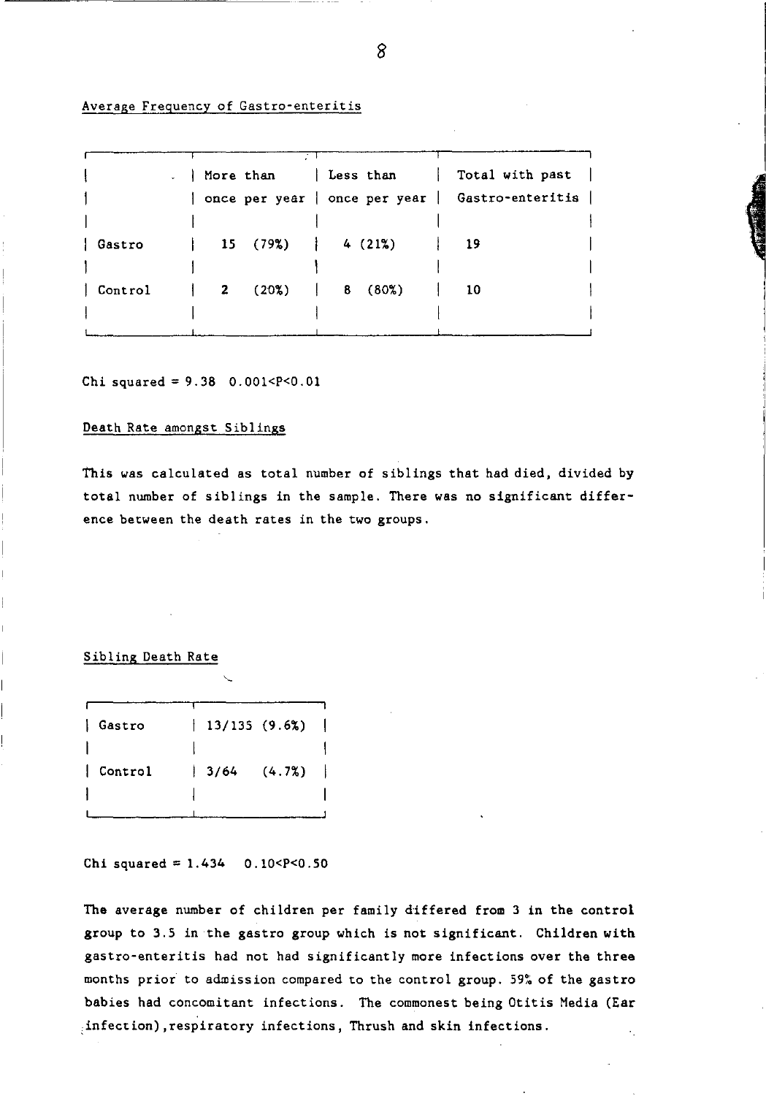#### Average Frequency of Gastro-enteritis

|         |  |                                                  | $\Box$ More than   Less than   Total with past  <br>  once per year   once per year   Gastro-enteritis |
|---------|--|--------------------------------------------------|--------------------------------------------------------------------------------------------------------|
| Gastro  |  | $15(79\%)$ $4(21\%)$                             | - 19                                                                                                   |
| Control |  | $\begin{bmatrix} 2 & 20\% \end{bmatrix}$ 8 (80%) | $\begin{array}{ccc} & 1 & 10 \end{array}$                                                              |

Chi squared =  $9.38$  0.001 <  $P$  < 0.01

#### Death Rate amongst Siblings

This was calculated as total number of siblings that had died, divided by total number of Siblings in the sample. There was no significant difference between the death rates in the two groups.

#### Sibling Death Rate

| Gastro  | $13/135$ (9.6%) |        |   |
|---------|-----------------|--------|---|
|         |                 |        |   |
| Control | 13/64           | (4.7%) | ł |
|         |                 |        |   |
|         |                 |        |   |

Chi squared =  $1.434$  0.10 < P < 0.50

The average number of children per family differed from 3 in the control group to 3.5 in the gastro group which is not significant. Children with gastro-enteritis had not had significantly more infections over the three months prior to admission compared to the control group. 59~ of the gastro babies had concomitant infections. The commonest being Otitis Media (Ear ,infection) ,respiratory infections, Thrush and skin infections.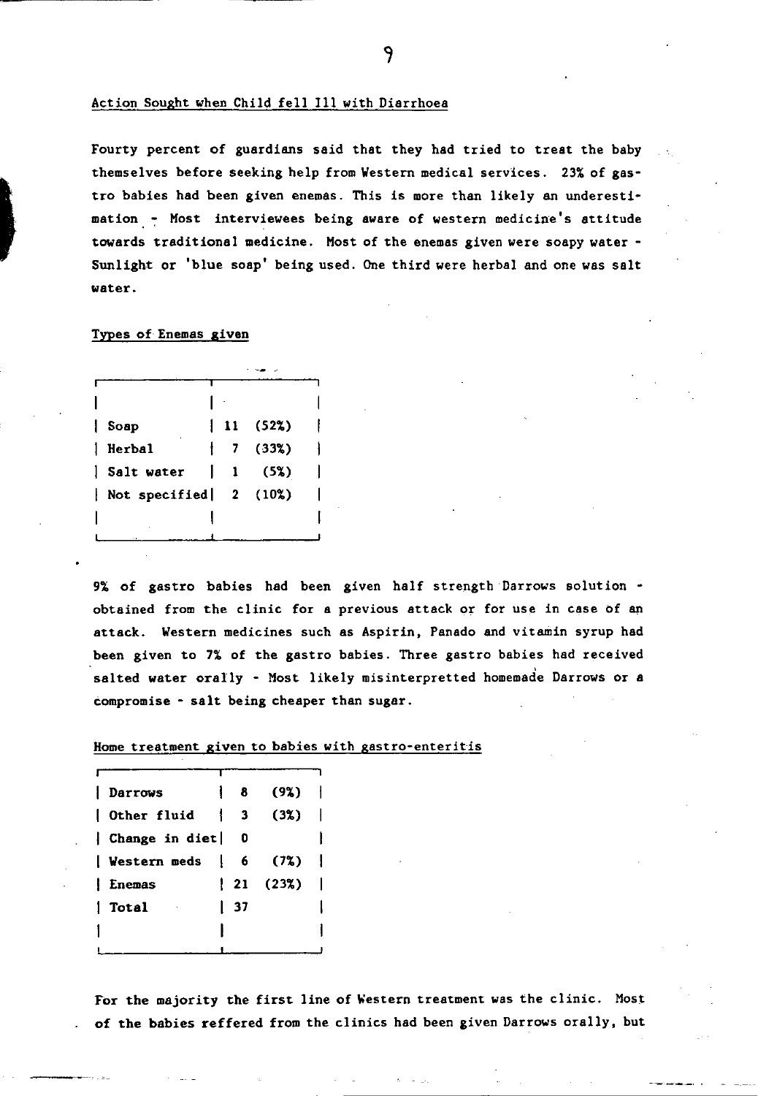#### Action Sought when Child fell III with Diarrhoea

Fourty percent of guardians said that they had tried to treat the baby themselves before seeking help from Western medical services. 23% of gastro babies had been given enemas. This is more than likely an underestimation. ~ Host interviewees being aware of western medicine's attitude towards traditional medicine. Host of the enemas given were soapy water - Sunlight or 'blue soap' being used. One third were herbal and one was salt water.

#### Types of Enemas given

|   | Soap                                  |   | 11 (52%) |  |
|---|---------------------------------------|---|----------|--|
|   | <b>Herbal</b>                         | 7 | (33%)    |  |
| ı | Salt water                            | 1 | (5%)     |  |
|   | $\vert$ Not specified $\vert$ 2 (10%) |   |          |  |
|   |                                       |   |          |  |
|   |                                       |   |          |  |

9% of gastro babies had been given half strength Darrows solution obtained from the clinic for a previous attack or for use in case of an attack. Western medicines such as Aspirin, Panado and vitamin syrup had been given to 7% of the gastro babies. Three gastro babies had received salted water orally - Most likely misinterpretted homemade Darrows or a compromise - salt being cheaper than sugar.

Home treatment given to babies with gastro-enteritis

| Darrows             | 8  | (9%)     |  |
|---------------------|----|----------|--|
| Other fluid         | з  | (3x)     |  |
| Change in diet      | 0  |          |  |
| <b>Western meds</b> | 6  | (72)     |  |
| Enemas              |    | 21 (23%) |  |
| Total               | 37 |          |  |
|                     |    |          |  |
|                     |    |          |  |

For the majority the first line of Western treatment was the clinic. Most of the babies reffered from the clinics had been given Darrows orally, but

۹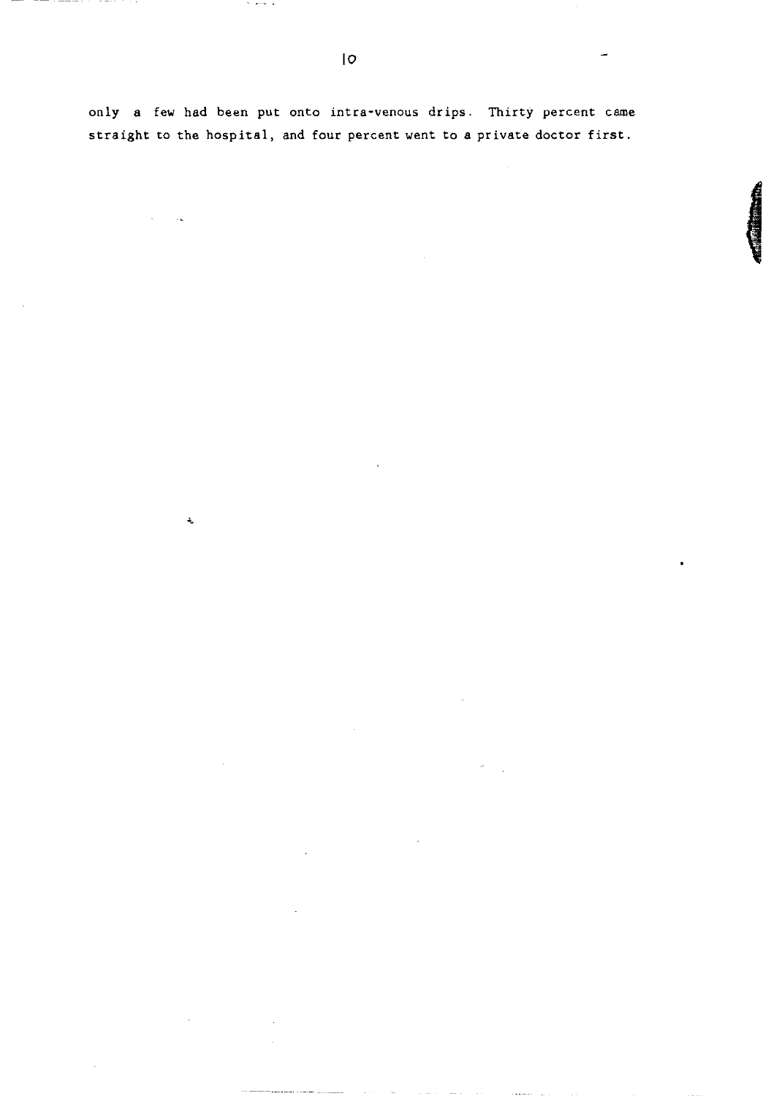only a few had been put onto intra-venous drips. Thirty percent came straight to the hospital, and four percent went to a private doctor first.

 $\cdots$ 

 $\sim 10$ 

 $\ddot{\phantom{0}}$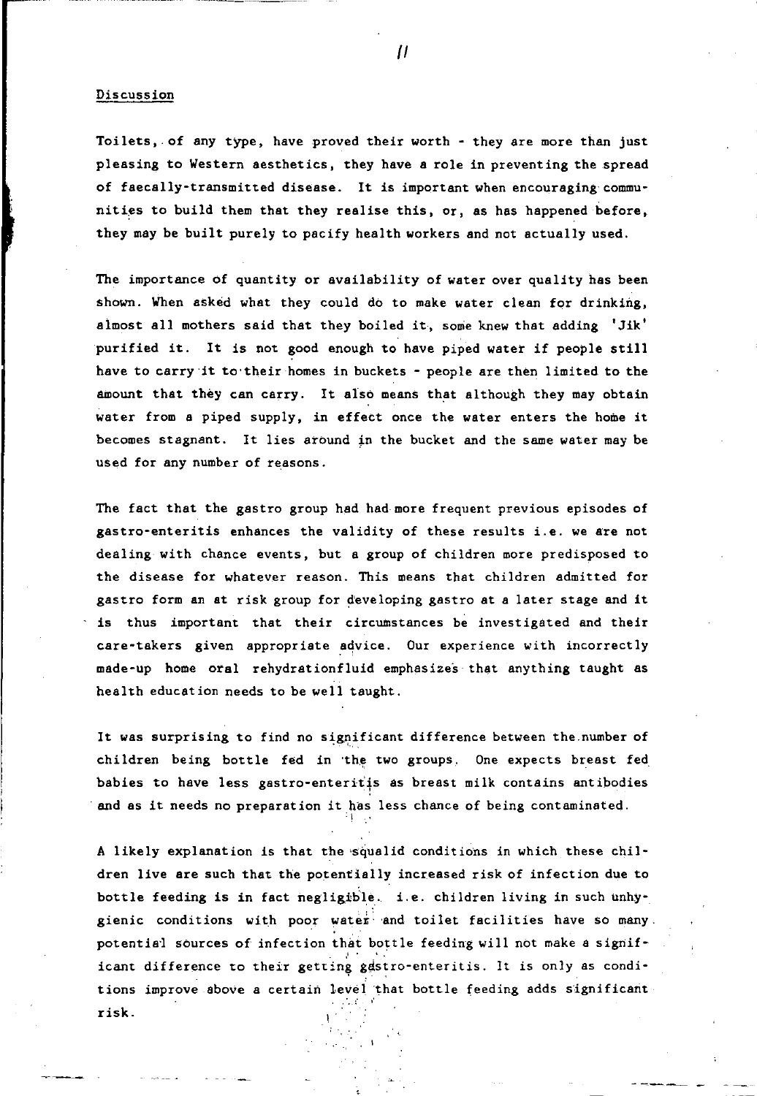#### Discussion

Toilets, of any type, have proved their worth - they are more than just pleasing to Western aesthetics, they have a role in preventing the spread of faecally-transmitted disease. It is important when encouraging'communities to build them that they realise this, or, as has happened before, they may be built purely to pacify health workers and not actually used.

The importance of quantity or availability of water over quality has been shown. When asked what they could do to make water clean for drinking, almost all mothers said that they boiled it, some knew that adding  $Jik'$ purified it. It is not good enough to have piped water if people still have to carry it to their homes in buckets - people are then limited to the amount that they can carry. It also means that although they may obtain water from a piped supply, in effect once the water enters the home it becomes stagnant. It lies around in the bucket and the same water may be used for any number of reasons.

The fact that the gastro group had had more frequent previous episodes of gastro-enteritis enhances the validity of these results i. e. we are not dealing with chance events, but a group of children more predisposed to the disease for whatever reason. This means that children admitted for gastro form an at risk group for developing gastro at a later stage and it is thus important that their circumstances be investigated and their care-takers given appropriate advice. Our experience with incorrectly made-up home oral rehydrationfluid emphasizes that anything taught as health education needs to be well taught.

It was surprising to find no significant difference between the number of children being bottle fed in 'the two groups, One expects breast fed babies to have less gastro-enteritis as breast milk contains antibodies and as it needs no preparation it has less chance of being contaminated. '!

A likely explanation is that the 'squalid conditions in which these children live are such that the potentially increased risk of infection due to bottle feeding is in fact negligible. i.e. children living in such unhygienic conditions with poor water and toilet facilities have so many. potential sources of infection that bottle feeding will not make a significant difference to their getting gastro-enteritis. It is only as conditions improve above a certain level 'that bottle feeding adds s'ignificarit risk.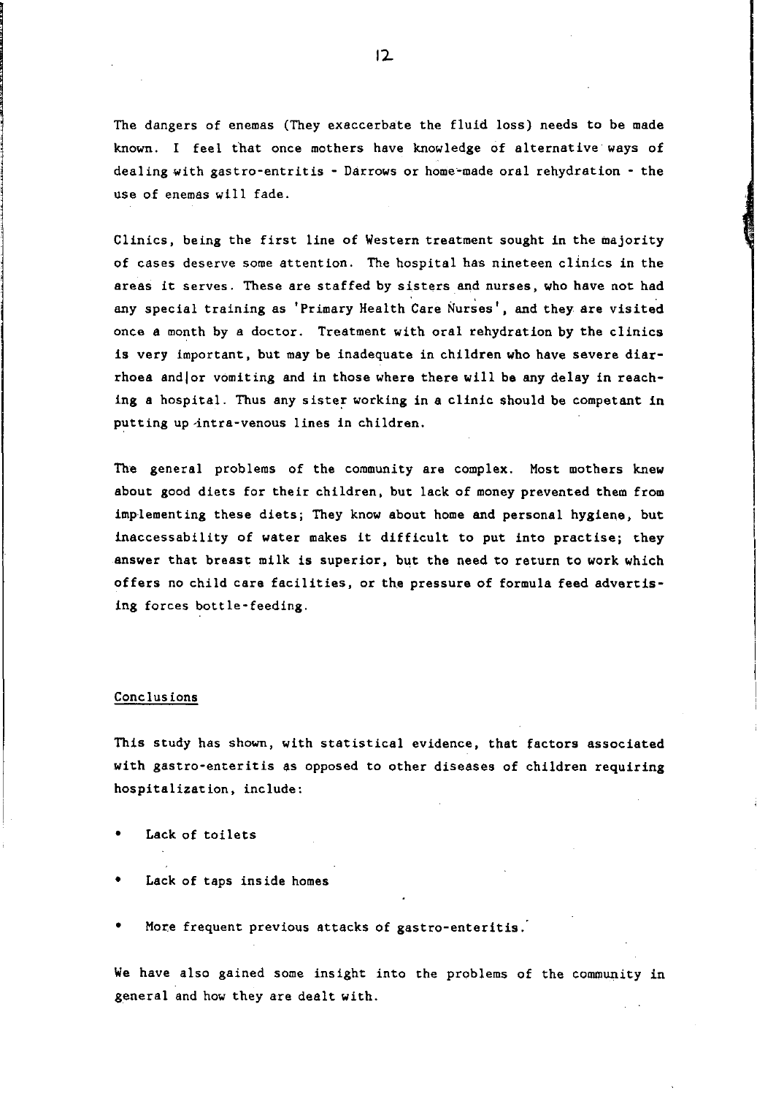The dangers of enemas (They exaccerbate the fluid loss) needs to be made known. I feel that once mothers have knowledge of alternative ways of dealing with gastro-entritis - Darrows or home-made oral rehydration - the use of enemas will fade.

Clinics, being the first line of Western treatment sought in the majority of cases deserve some attention. The hospital has nineteen clinics in the areas it serves. These are staffed by sisters and nurses, who have not had any special training as 'Primary Health Care Nurses', and they are visited once a month by a doctor. Treatment with oral rehydration by the clinics is very important, but may be inadequate in children who have severe diarrhoea andlor vomiting and in those where there will be any delay in reaching a hospital. Thus any sister working in a clinic should be competant in putting up intra-venous lines in children.

The general problems of the community are complex. Most mothers knew about good diets for their children, but lack of money prevented them from implementing these diets; They know about home and personal hygiene, but inaccessability of water makes it difficult to put into practise; they answer that breast milk is superior, but the need to return to work which offers no child care facilities, or the pressure of formula feed advertising forces bottle-feeding.

#### Conclusions

This study has shown, with statistical evidence, that factors associated with gastro-enteritis as opposed to other diseases of children requiring hospitalization, include:

- Lack of toilets
- Lack of taps inside homes
- More frequent previous attacks of gastro-enteritis.

We have also gained some insight into the problems of the community in general and how they are dealt with.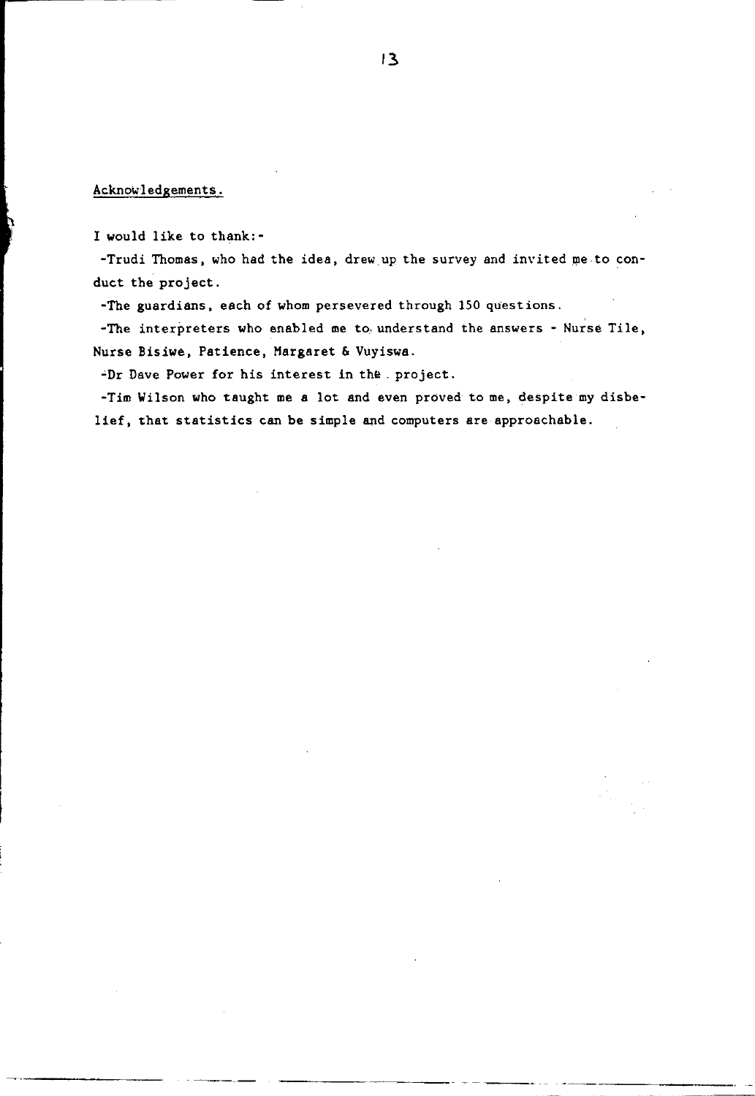#### Acknowledgements.

I would like to thank:-

-Trudi Thomas, who had the idea, drew up the survey and invited me to conduct the project.

-The guardians, each of whom persevered through 150 questions.

-The interpreters who enabled me to understand the answers - Nurse Tile, Nurse Bisiwe, Patience, Margaret & Vuyiswa.

"Dr Dave Power for his interest in the. project.

-Tim Wilson who taught me a lot and even proved to me, despite my disbelief, that statistics can be simple and computers are approachable.

----------- ~ ~ -~~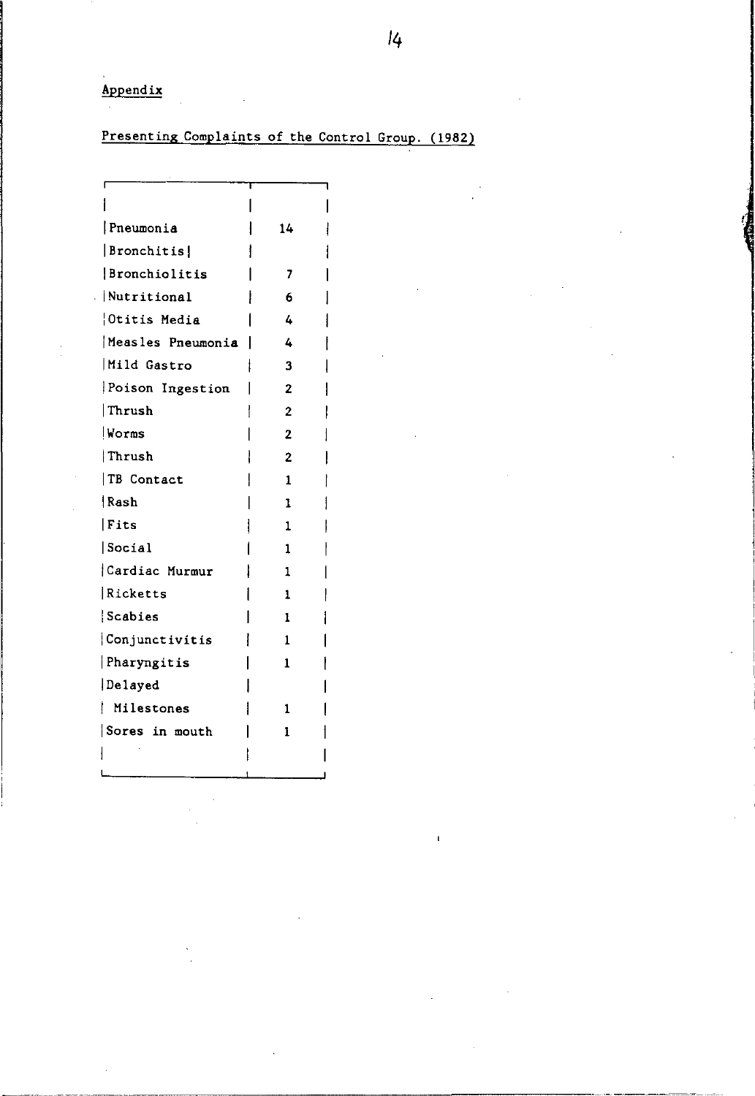Appendix

# Presenting Complaints of the Control Group. (1982)

| Pneumonia           | 14             |  |
|---------------------|----------------|--|
| Bronchitis          |                |  |
| Bronchiolitis       | 7              |  |
| Nutritional         | 6              |  |
| <b>Otitis Media</b> | 4              |  |
| Measles Pneumonia   | 4              |  |
| Mild Gastro         | 3              |  |
| Poison Ingestion    | $\overline{2}$ |  |
| Thrush              | 2              |  |
| Worms               | $\overline{2}$ |  |
| Thrush              | $\overline{2}$ |  |
| TB Contact          | 1              |  |
| Rash                | 1              |  |
| Fits                | 1              |  |
| Social              | 1              |  |
| Cardiac Murmur      | 1              |  |
| Ricketts            | 1              |  |
| Scabies             | 1              |  |
| Conjunctivitis      | 1              |  |
| Pharyngitis         | 1              |  |
| Delayed             |                |  |
| Milestones          | 1              |  |
| Sores in mouth      | 1              |  |
|                     |                |  |
|                     |                |  |

 $\mathbf{f}$